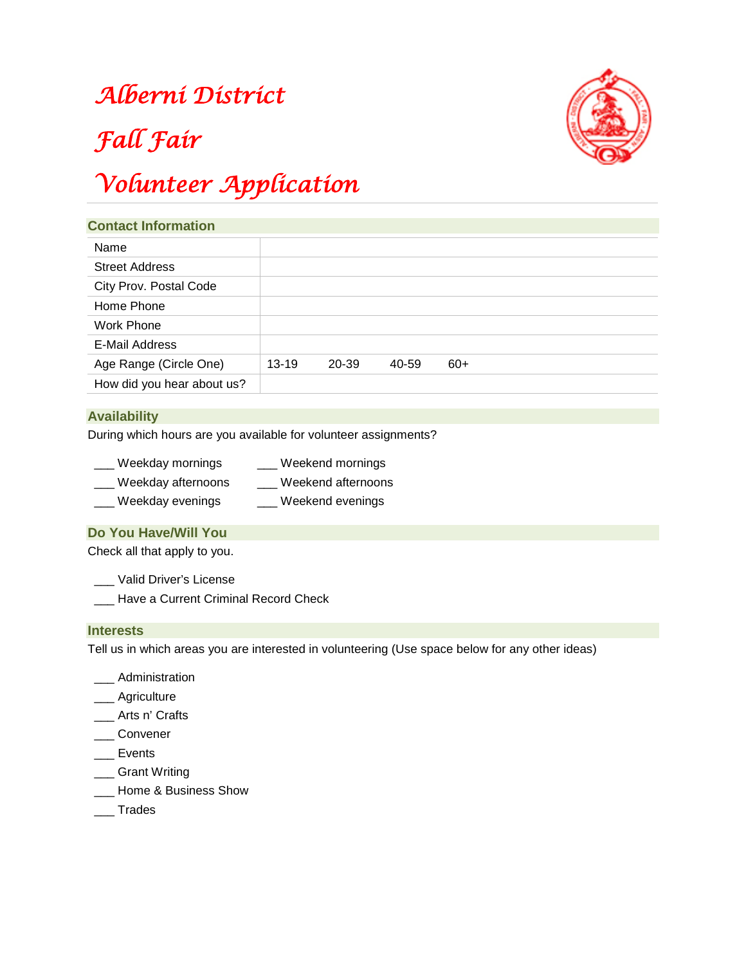### *Alberni District*



# *Fall Fair*

## *Volunteer Application*

| <b>Contact Information</b> |           |       |       |       |  |  |
|----------------------------|-----------|-------|-------|-------|--|--|
| Name                       |           |       |       |       |  |  |
| <b>Street Address</b>      |           |       |       |       |  |  |
| City Prov. Postal Code     |           |       |       |       |  |  |
| Home Phone                 |           |       |       |       |  |  |
| Work Phone                 |           |       |       |       |  |  |
| E-Mail Address             |           |       |       |       |  |  |
| Age Range (Circle One)     | $13 - 19$ | 20-39 | 40-59 | $60+$ |  |  |
| How did you hear about us? |           |       |       |       |  |  |

#### **Availability**

During which hours are you available for volunteer assignments?

| Weekday mornings   | Weekend mornings   |  |  |
|--------------------|--------------------|--|--|
| Weekday afternoons | Weekend afternoons |  |  |

\_\_\_ Weekday evenings \_\_\_ Weekend evenings

#### **Do You Have/Will You**

Check all that apply to you.

- \_\_\_ Valid Driver's License
- \_\_\_ Have a Current Criminal Record Check

#### **Interests**

Tell us in which areas you are interested in volunteering (Use space below for any other ideas)

- \_\_\_ Administration
- \_\_\_ Agriculture
- \_\_\_ Arts n' Crafts
- \_\_\_ Convener
- \_\_\_ Events
- \_\_\_ Grant Writing
- \_\_\_ Home & Business Show
- \_\_\_ Trades